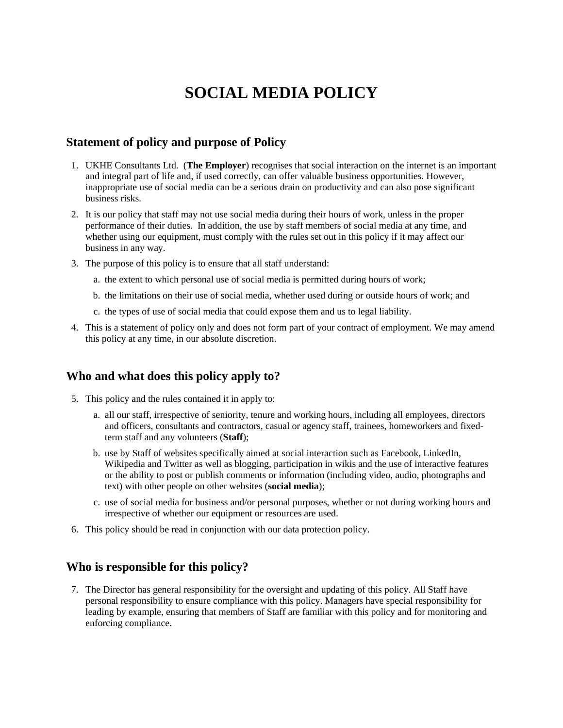# **SOCIAL MEDIA POLICY**

## **Statement of policy and purpose of Policy**

- 1. UKHE Consultants Ltd. (**The Employer**) recognises that social interaction on the internet is an important and integral part of life and, if used correctly, can offer valuable business opportunities. However, inappropriate use of social media can be a serious drain on productivity and can also pose significant business risks.
- 2. It is our policy that staff may not use social media during their hours of work, unless in the proper performance of their duties. In addition, the use by staff members of social media at any time, and whether using our equipment, must comply with the rules set out in this policy if it may affect our business in any way.
- 3. The purpose of this policy is to ensure that all staff understand:
	- a. the extent to which personal use of social media is permitted during hours of work;
	- b. the limitations on their use of social media, whether used during or outside hours of work; and
	- c. the types of use of social media that could expose them and us to legal liability.
- 4. This is a statement of policy only and does not form part of your contract of employment. We may amend this policy at any time, in our absolute discretion.

### **Who and what does this policy apply to?**

- 5. This policy and the rules contained it in apply to:
	- a. all our staff, irrespective of seniority, tenure and working hours, including all employees, directors and officers, consultants and contractors, casual or agency staff, trainees, homeworkers and fixedterm staff and any volunteers (**Staff**);
	- b. use by Staff of websites specifically aimed at social interaction such as Facebook, LinkedIn, Wikipedia and Twitter as well as blogging, participation in wikis and the use of interactive features or the ability to post or publish comments or information (including video, audio, photographs and text) with other people on other websites (**social media**);
	- c. use of social media for business and/or personal purposes, whether or not during working hours and irrespective of whether our equipment or resources are used.
- 6. This policy should be read in conjunction with our data protection policy.

#### **Who is responsible for this policy?**

7. The Director has general responsibility for the oversight and updating of this policy. All Staff have personal responsibility to ensure compliance with this policy. Managers have special responsibility for leading by example, ensuring that members of Staff are familiar with this policy and for monitoring and enforcing compliance.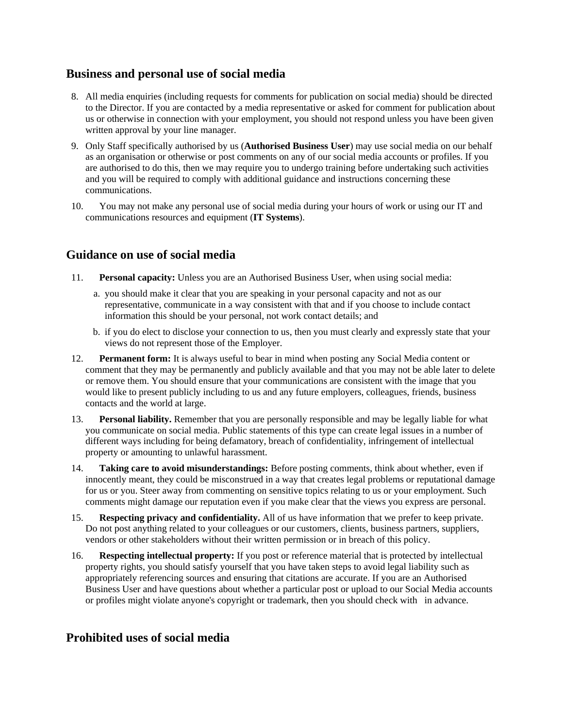# **Business and personal use of social media**

- 8. All media enquiries (including requests for comments for publication on social media) should be directed to the Director. If you are contacted by a media representative or asked for comment for publication about us or otherwise in connection with your employment, you should not respond unless you have been given written approval by your line manager.
- 9. Only Staff specifically authorised by us (**Authorised Business User**) may use social media on our behalf as an organisation or otherwise or post comments on any of our social media accounts or profiles. If you are authorised to do this, then we may require you to undergo training before undertaking such activities and you will be required to comply with additional guidance and instructions concerning these communications.
- 10. You may not make any personal use of social media during your hours of work or using our IT and communications resources and equipment (**IT Systems**).

## **Guidance on use of social media**

- 11. **Personal capacity:** Unless you are an Authorised Business User, when using social media:
	- a. you should make it clear that you are speaking in your personal capacity and not as our representative, communicate in a way consistent with that and if you choose to include contact information this should be your personal, not work contact details; and
	- b. if you do elect to disclose your connection to us, then you must clearly and expressly state that your views do not represent those of the Employer.
- 12. **Permanent form:** It is always useful to bear in mind when posting any Social Media content or comment that they may be permanently and publicly available and that you may not be able later to delete or remove them. You should ensure that your communications are consistent with the image that you would like to present publicly including to us and any future employers, colleagues, friends, business contacts and the world at large.
- 13. **Personal liability.** Remember that you are personally responsible and may be legally liable for what you communicate on social media. Public statements of this type can create legal issues in a number of different ways including for being defamatory, breach of confidentiality, infringement of intellectual property or amounting to unlawful harassment.
- 14. **Taking care to avoid misunderstandings:** Before posting comments, think about whether, even if innocently meant, they could be misconstrued in a way that creates legal problems or reputational damage for us or you. Steer away from commenting on sensitive topics relating to us or your employment. Such comments might damage our reputation even if you make clear that the views you express are personal.
- 15. **Respecting privacy and confidentiality.** All of us have information that we prefer to keep private. Do not post anything related to your colleagues or our customers, clients, business partners, suppliers, vendors or other stakeholders without their written permission or in breach of this policy.
- 16. **Respecting intellectual property:** If you post or reference material that is protected by intellectual property rights, you should satisfy yourself that you have taken steps to avoid legal liability such as appropriately referencing sources and ensuring that citations are accurate. If you are an Authorised Business User and have questions about whether a particular post or upload to our Social Media accounts or profiles might violate anyone's copyright or trademark, then you should check with in advance.

# **Prohibited uses of social media**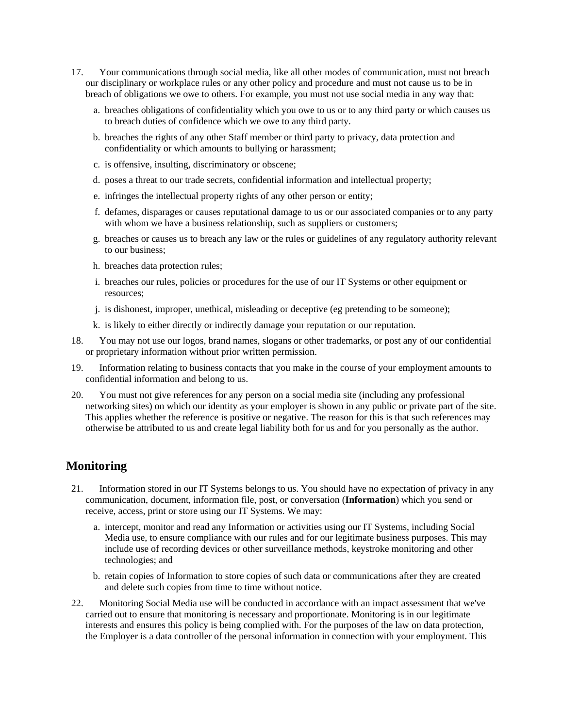- 17. Your communications through social media, like all other modes of communication, must not breach our disciplinary or workplace rules or any other policy and procedure and must not cause us to be in breach of obligations we owe to others. For example, you must not use social media in any way that:
	- a. breaches obligations of confidentiality which you owe to us or to any third party or which causes us to breach duties of confidence which we owe to any third party.
	- b. breaches the rights of any other Staff member or third party to privacy, data protection and confidentiality or which amounts to bullying or harassment;
	- c. is offensive, insulting, discriminatory or obscene;
	- d. poses a threat to our trade secrets, confidential information and intellectual property;
	- e. infringes the intellectual property rights of any other person or entity;
	- f. defames, disparages or causes reputational damage to us or our associated companies or to any party with whom we have a business relationship, such as suppliers or customers;
	- g. breaches or causes us to breach any law or the rules or guidelines of any regulatory authority relevant to our business;
	- h. breaches data protection rules;
	- i. breaches our rules, policies or procedures for the use of our IT Systems or other equipment or resources;
	- j. is dishonest, improper, unethical, misleading or deceptive (eg pretending to be someone);
	- k. is likely to either directly or indirectly damage your reputation or our reputation.
- 18. You may not use our logos, brand names, slogans or other trademarks, or post any of our confidential or proprietary information without prior written permission.
- 19. Information relating to business contacts that you make in the course of your employment amounts to confidential information and belong to us.
- 20. You must not give references for any person on a social media site (including any professional networking sites) on which our identity as your employer is shown in any public or private part of the site. This applies whether the reference is positive or negative. The reason for this is that such references may otherwise be attributed to us and create legal liability both for us and for you personally as the author.

### **Monitoring**

- 21. Information stored in our IT Systems belongs to us. You should have no expectation of privacy in any communication, document, information file, post, or conversation (**Information**) which you send or receive, access, print or store using our IT Systems. We may:
	- a. intercept, monitor and read any Information or activities using our IT Systems, including Social Media use, to ensure compliance with our rules and for our legitimate business purposes. This may include use of recording devices or other surveillance methods, keystroke monitoring and other technologies; and
	- b. retain copies of Information to store copies of such data or communications after they are created and delete such copies from time to time without notice.
- 22. Monitoring Social Media use will be conducted in accordance with an impact assessment that we've carried out to ensure that monitoring is necessary and proportionate. Monitoring is in our legitimate interests and ensures this policy is being complied with. For the purposes of the law on data protection, the Employer is a data controller of the personal information in connection with your employment. This